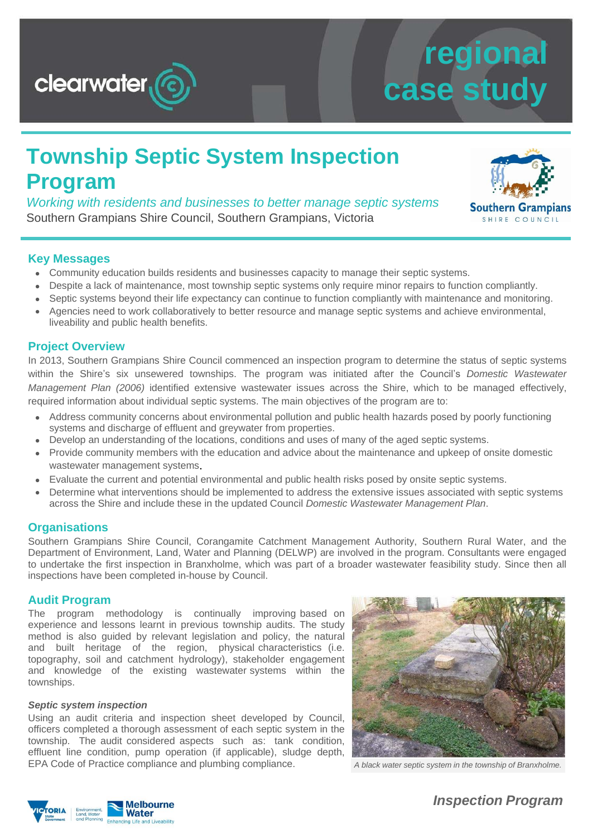

# **regional case study**

### **Township Septic System Inspection Program**

*Working with residents and businesses to better manage septic systems* Southern Grampians Shire Council, Southern Grampians, Victoria



#### **Key Messages**

- Community education builds residents and businesses capacity to manage their septic systems.
- Despite a lack of maintenance, most township septic systems only require minor repairs to function compliantly.
- Septic systems beyond their life expectancy can continue to function compliantly with maintenance and monitoring.
- Agencies need to work collaboratively to better resource and manage septic systems and achieve environmental, liveability and public health benefits.

#### **Project Overview**

In 2013, Southern Grampians Shire Council commenced an inspection program to determine the status of septic systems within the Shire's six unsewered townships. The program was initiated after the Council's *Domestic Wastewater Management Plan (2006)* identified extensive wastewater issues across the Shire, which to be managed effectively, required information about individual septic systems. The main objectives of the program are to:

- Address community concerns about environmental pollution and public health hazards posed by poorly functioning systems and discharge of effluent and greywater from properties.
- Develop an understanding of the locations, conditions and uses of many of the aged septic systems.
- Provide community members with the education and advice about the maintenance and upkeep of onsite domestic wastewater management systems.
- Evaluate the current and potential environmental and public health risks posed by onsite septic systems.
- Determine what interventions should be implemented to address the extensive issues associated with septic systems across the Shire and include these in the updated Council *Domestic Wastewater Management Plan*.

#### **Organisations**

Southern Grampians Shire Council, Corangamite Catchment Management Authority, Southern Rural Water, and the Department of Environment, Land, Water and Planning (DELWP) are involved in the program. Consultants were engaged to undertake the first inspection in Branxholme, which was part of a broader wastewater feasibility study. Since then all inspections have been completed in-house by Council.

#### **Audit Program**

The program methodology is continually improving based on experience and lessons learnt in previous township audits. The study method is also guided by relevant legislation and policy, the natural and built heritage of the region, physical characteristics (i.e. topography, soil and catchment hydrology), stakeholder engagement and knowledge of the existing wastewater systems within the townships.

#### *Septic system inspection*

Using an audit criteria and inspection sheet developed by Council, officers completed a thorough assessment of each septic system in the township. The audit considered aspects such as: tank condition, effluent line condition, pump operation (if applicable), sludge depth, EPA Code of Practice compliance and plumbing compliance. *A black water septic system in the township of Branxholme.*





*Inspection Program*